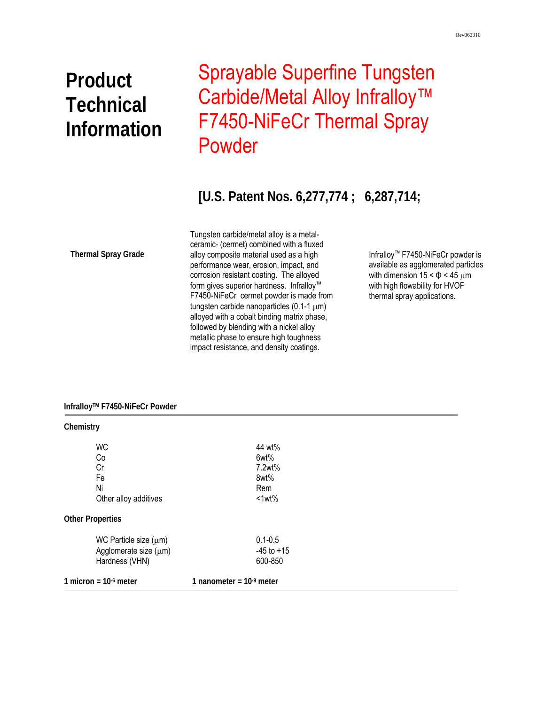# **Product Technical Information**

## Sprayable Superfine Tungsten Carbide/Metal Alloy Infralloy<sup>™</sup> F7450-NiFeCr Thermal Spray Powder

### **[U.S. Patent Nos. 6,277,774 ; 6,287,714;**

**Thermal Spray Grade** 

 metallic phase to ensure high toughness Tungsten carbide/metal alloy is a metalceramic- (cermet) combined with a fluxed alloy composite material used as a high performance wear, erosion, impact, and corrosion resistant coating. The alloyed form gives superior hardness. Infralloy™ F7450-NiFeCr cermet powder is made from tungsten carbide nanoparticles (0.1-1 μm) alloyed with a cobalt binding matrix phase, followed by blending with a nickel alloy impact resistance, and density coatings.

Infralloy™ F7450-NiFeCr powder is available as agglomerated particles with dimension  $15 < \Phi < 45 \mu m$ with high flowability for HVOF thermal spray applications.

#### **InfralloyTM F7450-NiFeCr Powder**

| Chemistry                                                             |                                          |  |
|-----------------------------------------------------------------------|------------------------------------------|--|
| <b>WC</b><br>Co<br>Cr                                                 | 44 wt%<br>6wt%<br>7.2wt%                 |  |
| Fe<br>Ni<br>Other alloy additives                                     | 8wt%<br>Rem<br>$<1$ wt $%$               |  |
| <b>Other Properties</b>                                               |                                          |  |
| WC Particle size $(\mu m)$<br>Agglomerate size (µm)<br>Hardness (VHN) | $0.1 - 0.5$<br>$-45$ to $+15$<br>600-850 |  |
| 1 micron = $10-6$ meter                                               | 1 nanometer = $109$ meter                |  |